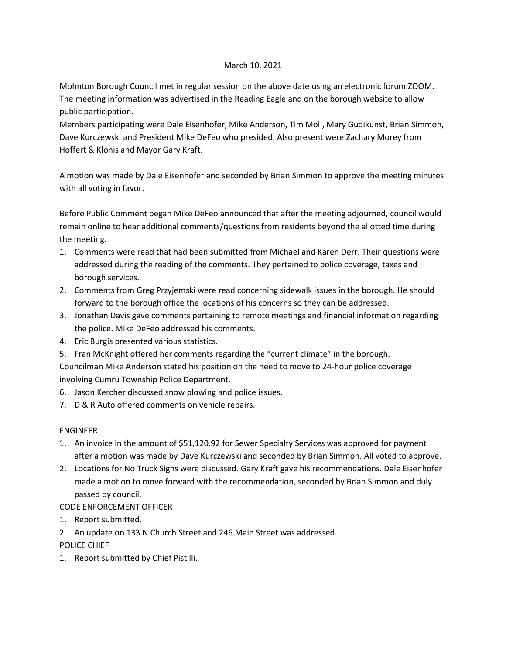### March 10, 2021

Mohnton Borough Council met in regular session on the above date using an electronic forum ZOOM. The meeting information was advertised in the Reading Eagle and on the borough website to allow public participation.

Members participating were Dale Eisenhofer, Mike Anderson, Tim Moll, Mary Gudikunst, Brian Simmon, Dave Kurczewski and President Mike DeFeo who presided. Also present were Zachary Morey from Hoffert & Klonis and Mayor Gary Kraft.

A motion was made by Dale Eisenhofer and seconded by Brian Simmon to approve the meeting minutes with all voting in favor.

Before Public Comment began Mike DeFeo announced that after the meeting adjourned, council would remain online to hear additional comments/questions from residents beyond the allotted time during the meeting.

- 1. Comments were read that had been submitted from Michael and Karen Derr. Their questions were addressed during the reading of the comments. They pertained to police coverage, taxes and borough services.
- 2. Comments from Greg Przyjemski were read concerning sidewalk issues in the borough. He should forward to the borough office the locations of his concerns so they can be addressed.
- 3. Jonathan Davis gave comments pertaining to remote meetings and financial information regarding the police. Mike DeFeo addressed his comments.
- 4. Eric Burgis presented various statistics.
- 5. Fran McKnight offered her comments regarding the "current climate" in the borough.

Councilman Mike Anderson stated his position on the need to move to 24-hour police coverage involving Cumru Township Police Department.

- 6. Jason Kercher discussed snow plowing and police issues.
- 7. D & R Auto offered comments on vehicle repairs.

# ENGINEER

- 1. An invoice in the amount of \$51,120.92 for Sewer Specialty Services was approved for payment after a motion was made by Dave Kurczewski and seconded by Brian Simmon. All voted to approve.
- 2. Locations for No Truck Signs were discussed. Gary Kraft gave his recommendations. Dale Eisenhofer made a motion to move forward with the recommendation, seconded by Brian Simmon and duly passed by council.

# CODE ENFORCEMENT OFFICER

- 1. Report submitted.
- 2. An update on 133 N Church Street and 246 Main Street was addressed.

POLICE CHIEF

1. Report submitted by Chief Pistilli.